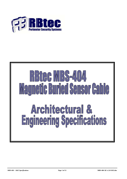

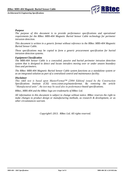

#### *Purpose*

The purpose of this document is to provide performance specifications and operational *requirements for the RBtec MBS-404 Magnetic Buried Sensor Cable technology for perimeter intrusion detection.*

*This document is written in a generic format without reference to the RBtec MBS-404 Magnetic Buried Sensor Cable.*

*These specifications may be copied to form a generic procurement specification for buried intrusion detection systems.*

#### *Equipment Classification*

*The MBS-404 Sensor Cable is a concealed, passive and buried perimeter intrusion detection system that is designed to detect and locate intruders moving over or under unseen boundary lines and perimeters.*

*The RBtec MBS-404 Magnetic Buried Sensor Cable system functions as a standalone system or as an integrated solution as part of a centralized control and maintenance facility.*

#### *Disclaimer*

*This A&E text is based upon MasterFormat™ [2004 Edition] issued by the Construction Specifications Institute (CSI) www.csinet.org/masterformat. By removing the article "Manufactured units", the text may be used also in performance-based specifications.*

*RBtec, MBS-404 and the RBtec logo are trademarks of RBtec Ltd.*

*All information in this document is subject to change without notice. RBtec reserves the right to make changes to product design or manufacturing methods, as research & development, or as other circumstances warrant.*

*Copyright© 2013. RBtec Ltd. All rights reserved.*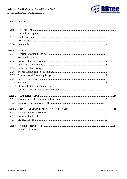

Table of Contents

| PART <sub>1</sub> |  |
|-------------------|--|
| 1.01              |  |
| 1.02              |  |
| 1.03              |  |
| 1.04              |  |
| PART <sub>2</sub> |  |
| 2.01              |  |
| 2.02              |  |
| 2.03              |  |
| 2.04              |  |
| 2.05              |  |
| 2.06              |  |
| 2.07              |  |
| 2.08              |  |
| 2.09              |  |
| 2.010             |  |
| 2.011             |  |
| PART <sub>3</sub> |  |
| 3.01              |  |
| 3.02              |  |
| PART <sub>4</sub> |  |
| 4.01              |  |
| 4.02              |  |
| 4.03              |  |
| PART <sub>5</sub> |  |
| 5.01              |  |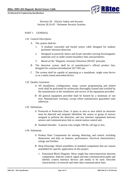

Division 28 – Electric Safety and Security Section 28.16.43 – Perimeter Security Systems

### <span id="page-3-1"></span><span id="page-3-0"></span>PART 1 GENERAL

- 1.01 General Description
	- A The system shall be:
		- 1. A modular concealed and buried sensor cable designed for outdoor perimeter intrusion detection.
		- 2. Designed to passively detect and locate intruders moving ferromagnetic materials over or under unseen boundary lines and perimeters.
		- 3. Based on the 'Magnetic Anomaly Detection (MAD)' principle.
	- B The detection system shall be of manufacturer's official product line, designed for commercial/industrial 24/7/365 use.
	- C The system shall be capable of operating as a standalone, single zone device or as a multi-zoned networked device.
- <span id="page-3-2"></span>1.02 Quality Assurance
	- A All installation, configuration, setup, system programming and related work shall be performed by technicians thoroughly trained and certified by the manufacturer in the installation and service of the equipment provided.
	- B All general equipment provided shall be backed by a minimum of one year. Manufacturer warranty, except where manufacturer guarantees state otherwise.
- <span id="page-3-3"></span>1.03 Definitions
	- A Protected or Protection Zone: A space or area or area which an intrusion must be detected and uniquely identified, the sensor or group of sensors assigned to perform the detection, and any interface equipment between sensors and communication link to central-station control unit.
	- B Standard Intruder: A person who weighs 100 lbs. (45 kg) or less.
- <span id="page-3-4"></span>1.04 Submittals
	- A Product Data: Components for sensing, detecting, and control, including dimensions and data on features, performance, electrical characteristics, ratings and finishes.
	- B Shop Drawings: Detail assemblies of standard components that are custom assembled for specific application on this project.
		- 1. Functional Block Diagram: Show single-line interconnections between components. Indicate control, signal and data communication paths and identify control interface devices and media to be used. Describe characteristics of network and other data communication lines.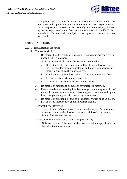

C Equipment and System Operation Description: Include method of operation and supervision of each component and each type of circuit. Show sequence of operations for manually and automatically initiated system or equipment inputs. Description must cover this specific Project; manufacturer's standard descriptions for generic systems are not acceptable.

# <span id="page-4-0"></span>PART 2 PRODUCTS

- <span id="page-4-1"></span>2.01 General Detection Properties
	- A The sensor shall:
		- 1. Be designed to detect intruders passing ferromagnetic materials over or under the detection zone.
		- 2. A sensor module shall contain the electronics required to:
			- a. Detect the local change in magnetic flux of the earth caused by movement of ferromagnetic materials and ignore local changes in magnetic flux caused by other sources.
			- b. Amplify the magnetic flux within the detection zone for analysis.
			- c. Indicate an alarm when intrusion occurs.
			- d. Transmit an alarm condition to a control device.
		- 3. Be capable of monitoring all types of ferromagnetic materials.
		- 4. Detect intruders by detecting localized changes in the magnetic flux of the earth caused by movement of ferromagnetic materials and ignore local changes in magnetic flux caused by other sources
		- 5. Be capable of functioning either as a standalone system or as an integral part of a centralized control and maintenance facility.
		- B Probability of Detection
			- 1. The probability of detection (PD) of an intruder passing ferromagnetic materials over or under the detection zone shall be of a confidence factor of 98.999% or greater.
		- C Nuisance Alarm Rate/ False Alarm Rate (NAR/FAR)
			- 1. Nuisance Alarms: The system shall operate within specification in typical outdoor environments.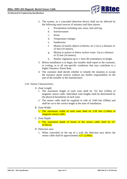

- 2. The system, as a concealed detection device shall not be affected by the following usual sources of nuisance and false alarms:
	- a. Precipitation including rain, snow, hail and fog.
	- b. Sunrise/sunset
	- c. Wind
	- d. Temperature changes
	- e. Sandstorms
	- f. Motion of nearby objects (vehicles, etc.) Up to a distance of 33 feet (10 meters).
	- g. Motion at surface or below surface water. Up to a distance of 33 feet (10 meters).
	- h. Nearby vegetation up to 1 foot (30 centimeters) in height.
- 3. Before installation is to begin, the installer shall report to the customer, in writing, as to all site-specific conditions that may contribute to a higher Nuisance Alarm Rate.
- 4. The customer shall decide whether to remedy the situation or accept the nuisance alarm sources without any further responsibility on the part of the installer or the manufacturer.
- <span id="page-5-0"></span>2.02 Sensor Characteristics
	- A Zone Length:
		- 1. The maximum length of each zone shall be 722 feet (220m) of magnetic sensor cable. Individual zone lengths shall be determined by the physical boundaries of each zone.
		- 2. The sensor cable shall be supplied in rolls of 1640 feet (500m) and shall be cut to the correct length at the time of installation.
	- B Zone Width:
		- 1. The maximum width of each zone shall be 3.28 feet (1.00m) of magnetic sensor cable.
	- C Zone Depth:
		- 1. The maximum depth of burial of the sensor cable shall be 16"  $(0.40cm)$ .
	- D Detection area:
		- 1. When concealed on the top of a wall, the detection area above the sensor cable shall be approximately  $6.5'$  (2.00m).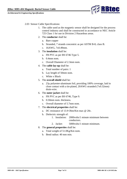

## <span id="page-6-0"></span>2.03 Sensor Cable Specifications:

- 1. The cable used as the magnetic sensor shall be designed for the process control industry and shall be constructed in accordance to NEC Article 725 Class 1 for use in Division 2 Hazardous areas.
- 2. The **conductor** shall be:
	- a. Bare copper
	- b. Stranded, 7 strands concentric as per ASTM B-8, class B.
	- c. 16AWG, 7x0.49mm.
- 3. The **insulation** shall be:
	- a. FR PVC as per BS 6746 Type 5.
	- b. 0.4mm nom.
	- c. Overall Diameter of 2.3mm nom.
- 4. The **cable lay-up** shall be:
	- a. Total number of pairs: 1
	- b. Lay length of 50mm nom.
	- c. White x Black
- 5. The **overall shield** shall be:
	- a. 23μ polyester-aluminum foil, providing 100% coverage, laid in close contact with a tin-plated, 20AWG stranded (7x0.32mm) drain-wire.
- 6. The **outer jacket** shall be:
	- a. FR PVC as per BS 6746, Type 9.
	- b. 0.50mm nom. thickness.
	- c. Overall diameter of 5.7mm nom.
- 7. The **electrical properties** shall be:
	- a. DC resistance of 13.9 Ohm/Km max @ 20c.
	- b. Dielectric strength of:
		- 1. Insulation: 2000volts/1 minute minimum between conductors.
		- 2. Jacket: 5000volts/1 minute minimum.
- <span id="page-6-1"></span>8. The **general properties** shall be:
	- a. Total weight of 51.0Kg/Km nom.
	- b. Bend radius: 40 mm min.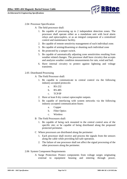

### 2.04 Processor Specification

- A The field processor shall:
	- 1. Be capable of processing up to 2 independent detection zones. The processor shall operate either as a standalone unit with local alarm relays and optocouplers, or as an integral component of a centralized control and maintenance facility.
	- 2. Be capable of remote sensitivity management of each individual zone.
	- 3. Be capable of arming/disarming or shunting each individual zone
	- 4. Be protected by a tamper switch.
	- 5. Be capable of automatically adjusting zone sensitivities resulting from weather related changes. The processor shall have circuitry that accepts and analyzes weather condition measurements for rain, wind and hail.
	- 6. Have internal circuitry to protect against lightning and voltage transients.
- <span id="page-7-0"></span>2.05 Distributed Processing
	- A The Field Processor shall:
		- 1. Be capable to communicate to central control via the following industry accepted protocols:
			- a. RS-232
			- b. RS-485
			- c. TCP/IP
		- 2. Have at least 8 dry contact optocoupler outputs.
		- 3. Be capable of interfacing with system networks via the following industry accepted communication buses:
			- a. Copper
			- b. Fiber Optics
			- c. Wireless
	- B The Field Processors shall:
		- 1. Be capable of being rack mounted in the central control area of the specific site; or be capable of being distributed along the proposed protected perimeter.
	- C Where processors are distributed along the perimeter:
		- 1. Each processor shall receive and process the signals from the sensors along the cable while providing fail-safe operation.
		- 2. The failure of one processor shall not affect the signal processing of the other processors along the perimeter.
- <span id="page-7-1"></span>2.06 System Component Requirements
	- A Surge Protection: Protect components from voltage surges originating external to equipment housing and entering through power,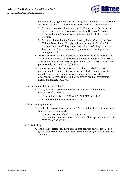

communication, signal, control, or sensing leads. Include surge protection for external wiring of each conductor entry connection to components.

- 1. Minimum protection for power lines 120V and more: Auxiliary panel suppressors complying with requirements in Division 26 Section "Transient-Voltage Suppression for Low-Voltage Electrical Power Circuits."
- 2. Minimum Protection for Communication, Signal, Control, and Low-Voltage Power Lines: Comply with requirements in Division 26 Section "Transient-Voltage Suppression for Low-Voltage Electrical Power Circuits" as recommended by manufacturer for type of line being protected.
- B Interference Protection: Components shall be unaffected by radiated RFI and electrical induction of 15V/m over a frequency range of 10 to 10,000 MHz and conducted interference signals up to 0.25-V RMS injected into power supply lines at 10 to 10,000 MHz.
- C Tamper Protection: Tamper switches on cabinets and other system components shall initiate a tamper-alarm signal when unit is opened or partially disassembled and when entering conductors are cut or disconnected. Central control unit alarm display shall identify tamper alarms and indicate locations.

### <span id="page-8-0"></span>2.07 Environmental Operating Range

- A The system shall operate within specifications under the following environmental conditions:
	- 1. Temperatures between -40ºF and 220ºF (-40ºC and 105ºC)
	- 2. Relative humidity between 0 and 100%.
- <span id="page-8-1"></span>2.08 Power Requirements
	- A The field processor shall operate at 12VDC and shall accept input power from DC power supplies at:
		- 1. 12 to 15 VDC for individual unit powering. The individual unit DC power supplies shall accept AC power at 115 V/60 Hz or 230 V/50 Hz.

### <span id="page-8-3"></span><span id="page-8-2"></span>2.09 Reliability

A The field processor shall have a mean time between failures (MTBF) of greater than 40,000 hours and a mean time to replace (MTTR) of less than 30 minutes.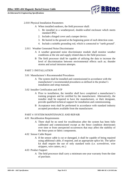

### 2.010 Physical Installation Parameters

- A When installed outdoors, the field processor shall:
	- 1. Be installed in a weatherproof, double-walled enclosure which meets standard IP65.
	- 2. Include a hinged cover and a tamper device.
	- 3. Be buried in the ground at the beginning point of each detection zone.
	- 4. Include a suitable grounding rod, which is connected to "earth ground".
- <span id="page-9-0"></span>2.011 Weather Generated Noise Discriminator
	- A A weather generated noise discriminator module shall monitor weather conditions at the site and supply related data to the field processor.
	- B The field processor shall be capable of utilizing the data to increase the level of discrimination between environmental effects such as; thunder storms and actual intrusion attempts.

### <span id="page-9-1"></span>PART 3 INSTALLATION

- <span id="page-9-2"></span>3.01 Manufacturer's Recommended Procedures
	- A The system shall be installed and commissioned in accordance with the manufacturer's recommended procedures as defined in the product's installation and setup manuals.
- <span id="page-9-3"></span>3.02 Installer Certification and ATP
	- A Prior to installation, the installer shall have completed a manufacturer's training program and be certified by the manufacturer. Alternatively, the installer shall be required to have the manufacturer, or their designate, provide qualified technical support for installation and commissioning.
	- B Acceptance tests shall be performed in accordance with standard industry accepted procedures available from the manufacturer.

### <span id="page-9-4"></span>PART 4 SYSTEM MAINTENANCE AND REPAIR

- <span id="page-9-5"></span>4.01 Recalibration Requirements
	- A There shall be no need for recalibration after the system has been fully calibrated and commissioned except as the fence condition deteriorates over time or from unexpected occurrences that may affect the stability of the fence posts or fabric components.
- <span id="page-9-6"></span>4.02 Sensor Cable Repair
	- A If the sensor cable is cut or damaged, it shall be capable of being repaired using additional cable, if required, and an appropriate splice kit. The splice kit shall require the use of only standard tools (i.e. screwdriver, wire strippers, wire cutters, etc.)
- <span id="page-9-7"></span>4.03 Product Support
	- A The field processor shall carry a minimum one-year warranty from the date of purchase.